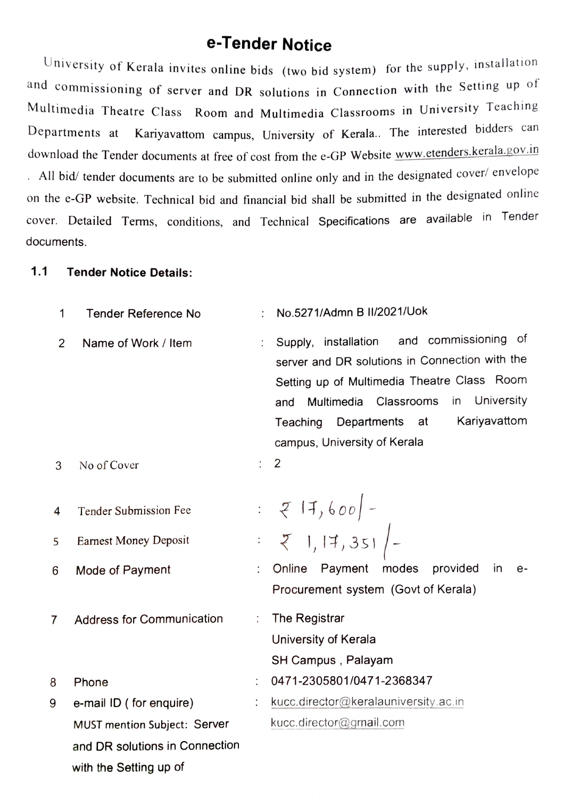## e-Tender Notice

University of Kerala invites online bids (two bid system) for the supply, installation and commissioning of server and DR solutions in Connection with the Setting up of Multimedia Theatre Class Room and Multimedia Classrooms in University Teaching Departments at Kariyavattom campus, University of Kerala.. The interested bidders can download the Tender documents at free of cost from the e-GP Website www.etenders.kerala.gov.in  $AII$  bid/ tender documents are to be submitted online only and in the designated cover/ envelope on the e-GP website. Technical bid and financial bid shall be submitted in the designated online cover. Detailed Terms, conditions, and Technical Specifications are available in Tender documents.

### 1.1 Tender Notice Details:

| 1 | <b>Tender Reference No</b>       |   | No.5271/Admn B II/2021/Uok                                                                                                                                                                                                                                                               |
|---|----------------------------------|---|------------------------------------------------------------------------------------------------------------------------------------------------------------------------------------------------------------------------------------------------------------------------------------------|
| 2 | Name of Work / Item              |   | and commissioning of<br>installation<br>Supply,<br>server and DR solutions in Connection with the<br>Setting up of Multimedia Theatre Class Room<br>University<br>Classrooms<br>Multimedia<br>in<br>and<br>Kariyavattom<br>Departments<br>at<br>Teaching<br>campus, University of Kerala |
| 3 | No of Cover                      |   | 2                                                                                                                                                                                                                                                                                        |
| 4 | <b>Tender Submission Fee</b>     |   | : $Z$   7, 600   -<br>: $Z$  ,   7, 351   -                                                                                                                                                                                                                                              |
| 5 | <b>Earnest Money Deposit</b>     |   |                                                                                                                                                                                                                                                                                          |
| 6 | Mode of Payment                  |   | Online<br>Payment modes<br>provided<br>$\overline{\mathsf{m}}$<br>e-<br>Procurement system (Govt of Kerala)                                                                                                                                                                              |
| 7 | <b>Address for Communication</b> | ÷ | The Registrar<br>University of Kerala<br>SH Campus, Palayam                                                                                                                                                                                                                              |
| 8 | Phone                            |   | 0471-2305801/0471-2368347                                                                                                                                                                                                                                                                |
| 9 | e-mail ID (for enquire)          |   | kucc.director@keralauniversity.ac.in                                                                                                                                                                                                                                                     |
|   | MUST mention Subject: Server     |   | kucc.director@gmail.com                                                                                                                                                                                                                                                                  |
|   | and DR solutions in Connection   |   |                                                                                                                                                                                                                                                                                          |
|   | with the Setting up of           |   |                                                                                                                                                                                                                                                                                          |